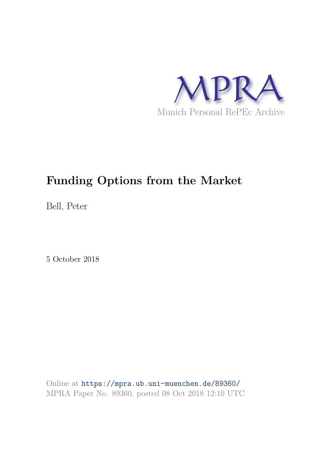

# **Funding Options from the Market**

Bell, Peter

5 October 2018

Online at https://mpra.ub.uni-muenchen.de/89360/ MPRA Paper No. 89360, posted 08 Oct 2018 12:10 UTC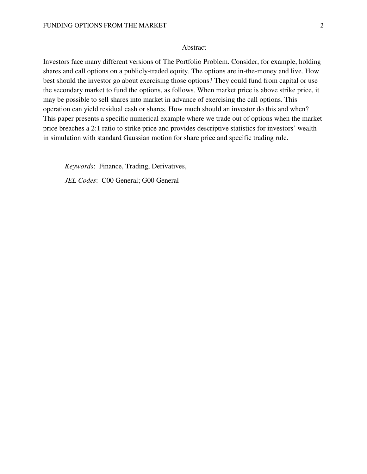#### Abstract

Investors face many different versions of The Portfolio Problem. Consider, for example, holding shares and call options on a publicly-traded equity. The options are in-the-money and live. How best should the investor go about exercising those options? They could fund from capital or use the secondary market to fund the options, as follows. When market price is above strike price, it may be possible to sell shares into market in advance of exercising the call options. This operation can yield residual cash or shares. How much should an investor do this and when? This paper presents a specific numerical example where we trade out of options when the market price breaches a 2:1 ratio to strike price and provides descriptive statistics for investors' wealth in simulation with standard Gaussian motion for share price and specific trading rule.

*Keywords*: Finance, Trading, Derivatives, *JEL Codes*: C00 General; G00 General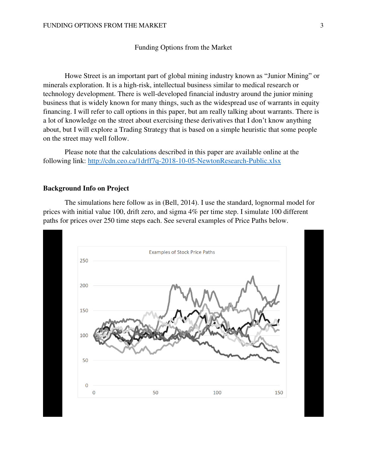#### Funding Options from the Market

Howe Street is an important part of global mining industry known as "Junior Mining" or minerals exploration. It is a high-risk, intellectual business similar to medical research or technology development. There is well-developed financial industry around the junior mining business that is widely known for many things, such as the widespread use of warrants in equity financing. I will refer to call options in this paper, but am really talking about warrants. There is a lot of knowledge on the street about exercising these derivatives that I don't know anything about, but I will explore a Trading Strategy that is based on a simple heuristic that some people on the street may well follow.

Please note that the calculations described in this paper are available online at the following link:<http://cdn.ceo.ca/1drff7q-2018-10-05-NewtonResearch-Public.xlsx>

#### **Background Info on Project**

The simulations here follow as in (Bell, 2014). I use the standard, lognormal model for prices with initial value 100, drift zero, and sigma 4% per time step. I simulate 100 different paths for prices over 250 time steps each. See several examples of Price Paths below.

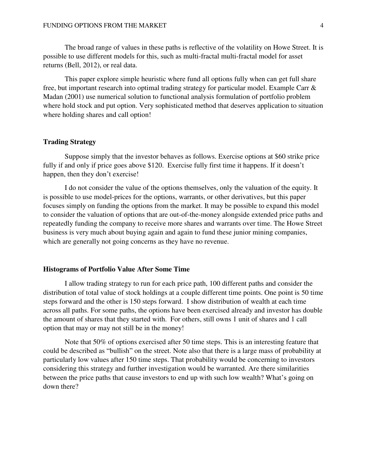The broad range of values in these paths is reflective of the volatility on Howe Street. It is possible to use different models for this, such as multi-fractal multi-fractal model for asset returns (Bell, 2012), or real data.

This paper explore simple heuristic where fund all options fully when can get full share free, but important research into optimal trading strategy for particular model. Example Carr & Madan (2001) use numerical solution to functional analysis formulation of portfolio problem where hold stock and put option. Very sophisticated method that deserves application to situation where holding shares and call option!

#### **Trading Strategy**

Suppose simply that the investor behaves as follows. Exercise options at \$60 strike price fully if and only if price goes above \$120. Exercise fully first time it happens. If it doesn't happen, then they don't exercise!

I do not consider the value of the options themselves, only the valuation of the equity. It is possible to use model-prices for the options, warrants, or other derivatives, but this paper focuses simply on funding the options from the market. It may be possible to expand this model to consider the valuation of options that are out-of-the-money alongside extended price paths and repeatedly funding the company to receive more shares and warrants over time. The Howe Street business is very much about buying again and again to fund these junior mining companies, which are generally not going concerns as they have no revenue.

#### **Histograms of Portfolio Value After Some Time**

I allow trading strategy to run for each price path, 100 different paths and consider the distribution of total value of stock holdings at a couple different time points. One point is 50 time steps forward and the other is 150 steps forward. I show distribution of wealth at each time across all paths. For some paths, the options have been exercised already and investor has double the amount of shares that they started with. For others, still owns 1 unit of shares and 1 call option that may or may not still be in the money!

Note that 50% of options exercised after 50 time steps. This is an interesting feature that could be described as "bullish" on the street. Note also that there is a large mass of probability at particularly low values after 150 time steps. That probability would be concerning to investors considering this strategy and further investigation would be warranted. Are there similarities between the price paths that cause investors to end up with such low wealth? What's going on down there?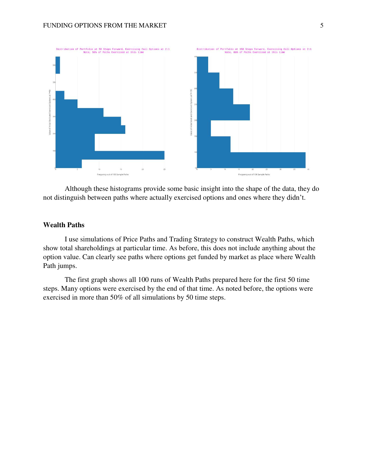

Although these histograms provide some basic insight into the shape of the data, they do not distinguish between paths where actually exercised options and ones where they didn't.

## **Wealth Paths**

I use simulations of Price Paths and Trading Strategy to construct Wealth Paths, which show total shareholdings at particular time. As before, this does not include anything about the option value. Can clearly see paths where options get funded by market as place where Wealth Path jumps.

The first graph shows all 100 runs of Wealth Paths prepared here for the first 50 time steps. Many options were exercised by the end of that time. As noted before, the options were exercised in more than 50% of all simulations by 50 time steps.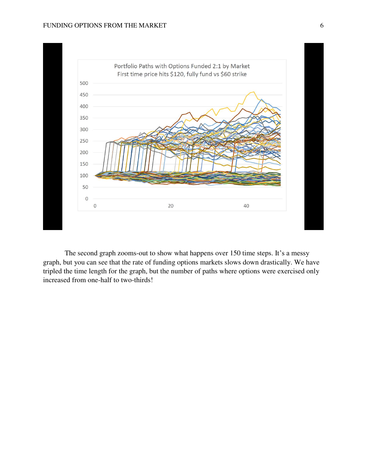

The second graph zooms-out to show what happens over 150 time steps. It's a messy graph, but you can see that the rate of funding options markets slows down drastically. We have tripled the time length for the graph, but the number of paths where options were exercised only increased from one-half to two-thirds!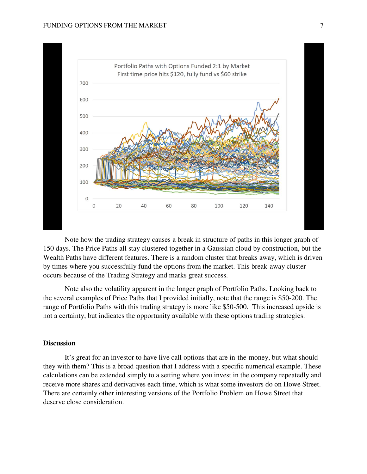

Note how the trading strategy causes a break in structure of paths in this longer graph of 150 days. The Price Paths all stay clustered together in a Gaussian cloud by construction, but the Wealth Paths have different features. There is a random cluster that breaks away, which is driven by times where you successfully fund the options from the market. This break-away cluster occurs because of the Trading Strategy and marks great success.

Note also the volatility apparent in the longer graph of Portfolio Paths. Looking back to the several examples of Price Paths that I provided initially, note that the range is \$50-200. The range of Portfolio Paths with this trading strategy is more like \$50-500. This increased upside is not a certainty, but indicates the opportunity available with these options trading strategies.

### **Discussion**

It's great for an investor to have live call options that are in-the-money, but what should they with them? This is a broad question that I address with a specific numerical example. These calculations can be extended simply to a setting where you invest in the company repeatedly and receive more shares and derivatives each time, which is what some investors do on Howe Street. There are certainly other interesting versions of the Portfolio Problem on Howe Street that deserve close consideration.